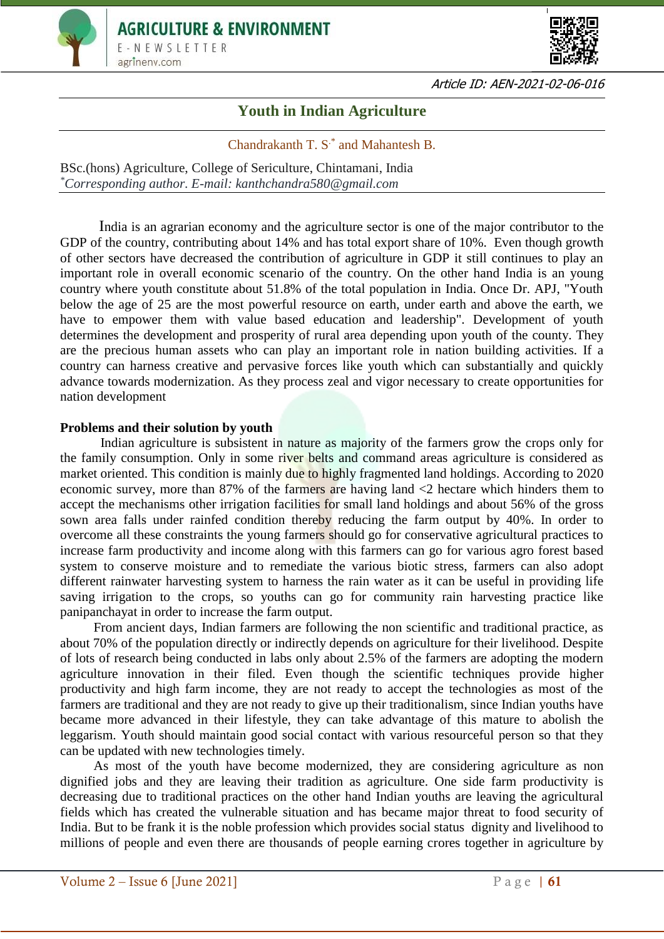



Article ID: AEN-2021-02-06-016

## **Youth in Indian Agriculture**

## Chandrakanth T. S.\* and Mahantesh B.

BSc.(hons) Agriculture, College of Sericulture, Chintamani, India *\*Corresponding author. E-mail: kanthchandra580@gmail.com*

 India is an agrarian economy and the agriculture sector is one of the major contributor to the GDP of the country, contributing about 14% and has total export share of 10%. Even though growth of other sectors have decreased the contribution of agriculture in GDP it still continues to play an important role in overall economic scenario of the country. On the other hand India is an young country where youth constitute about 51.8% of the total population in India. Once Dr. APJ, "Youth below the age of 25 are the most powerful resource on earth, under earth and above the earth, we have to empower them with value based education and leadership". Development of youth determines the development and prosperity of rural area depending upon youth of the county. They are the precious human assets who can play an important role in nation building activities. If a country can harness creative and pervasive forces like youth which can substantially and quickly advance towards modernization. As they process zeal and vigor necessary to create opportunities for nation development

## **Problems and their solution by youth**

Indian agriculture is subsistent in nature as majority of the farmers grow the crops only for the family consumption. Only in some river belts and command areas agriculture is considered as market oriented. This condition is mainly due to highly fragmented land holdings. According to 2020 economic survey, more than 87% of the farmers are having land <2 hectare which hinders them to accept the mechanisms other irrigation facilities for small land holdings and about 56% of the gross sown area falls under rainfed condition thereby reducing the farm output by 40%. In order to overcome all these constraints the young farmers should go for conservative agricultural practices to increase farm productivity and income along with this farmers can go for various agro forest based system to conserve moisture and to remediate the various biotic stress, farmers can also adopt different rainwater harvesting system to harness the rain water as it can be useful in providing life saving irrigation to the crops, so youths can go for community rain harvesting practice like panipanchayat in order to increase the farm output.

 From ancient days, Indian farmers are following the non scientific and traditional practice, as about 70% of the population directly or indirectly depends on agriculture for their livelihood. Despite of lots of research being conducted in labs only about 2.5% of the farmers are adopting the modern agriculture innovation in their filed. Even though the scientific techniques provide higher productivity and high farm income, they are not ready to accept the technologies as most of the farmers are traditional and they are not ready to give up their traditionalism, since Indian youths have became more advanced in their lifestyle, they can take advantage of this mature to abolish the leggarism. Youth should maintain good social contact with various resourceful person so that they can be updated with new technologies timely.

 As most of the youth have become modernized, they are considering agriculture as non dignified jobs and they are leaving their tradition as agriculture. One side farm productivity is decreasing due to traditional practices on the other hand Indian youths are leaving the agricultural fields which has created the vulnerable situation and has became major threat to food security of India. But to be frank it is the noble profession which provides social status dignity and livelihood to millions of people and even there are thousands of people earning crores together in agriculture by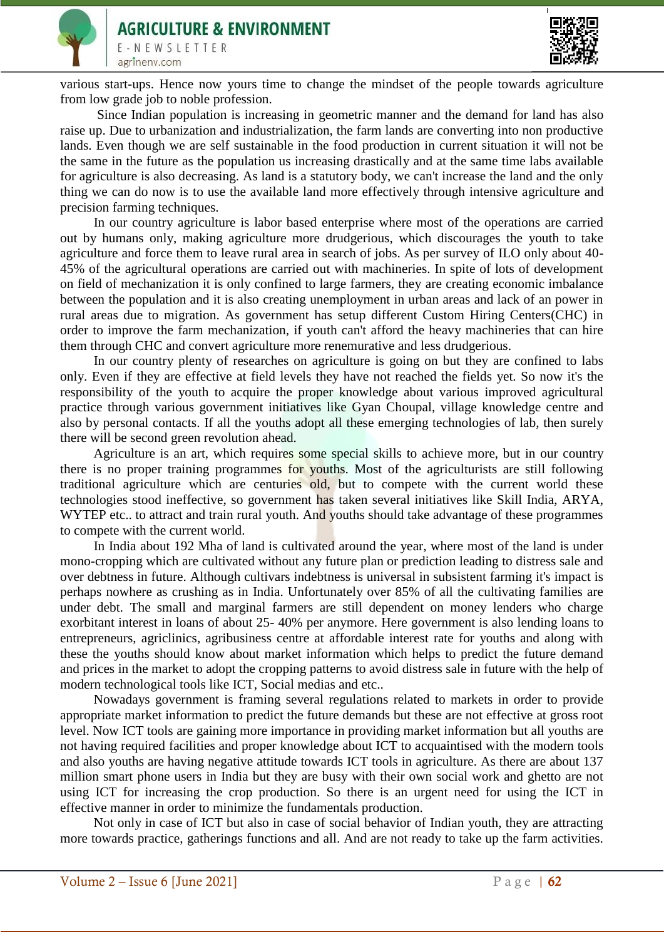



various start-ups. Hence now yours time to change the mindset of the people towards agriculture from low grade job to noble profession.

 Since Indian population is increasing in geometric manner and the demand for land has also raise up. Due to urbanization and industrialization, the farm lands are converting into non productive lands. Even though we are self sustainable in the food production in current situation it will not be the same in the future as the population us increasing drastically and at the same time labs available for agriculture is also decreasing. As land is a statutory body, we can't increase the land and the only thing we can do now is to use the available land more effectively through intensive agriculture and precision farming techniques.

 In our country agriculture is labor based enterprise where most of the operations are carried out by humans only, making agriculture more drudgerious, which discourages the youth to take agriculture and force them to leave rural area in search of jobs. As per survey of ILO only about 40- 45% of the agricultural operations are carried out with machineries. In spite of lots of development on field of mechanization it is only confined to large farmers, they are creating economic imbalance between the population and it is also creating unemployment in urban areas and lack of an power in rural areas due to migration. As government has setup different Custom Hiring Centers(CHC) in order to improve the farm mechanization, if youth can't afford the heavy machineries that can hire them through CHC and convert agriculture more renemurative and less drudgerious.

 In our country plenty of researches on agriculture is going on but they are confined to labs only. Even if they are effective at field levels they have not reached the fields yet. So now it's the responsibility of the youth to acquire the proper knowledge about various improved agricultural practice through various government initiatives like Gyan Choupal, village knowledge centre and also by personal contacts. If all the youths adopt all these emerging technologies of lab, then surely there will be second green revolution ahead.

 Agriculture is an art, which requires some special skills to achieve more, but in our country there is no proper training programmes for youths. Most of the agriculturists are still following traditional agriculture which are centuries old, but to compete with the current world these technologies stood ineffective, so government has taken several initiatives like Skill India, ARYA, WYTEP etc.. to attract and train rural youth. And youths should take advantage of these programmes to compete with the current world.

 In India about 192 Mha of land is cultivated around the year, where most of the land is under mono-cropping which are cultivated without any future plan or prediction leading to distress sale and over debtness in future. Although cultivars indebtness is universal in subsistent farming it's impact is perhaps nowhere as crushing as in India. Unfortunately over 85% of all the cultivating families are under debt. The small and marginal farmers are still dependent on money lenders who charge exorbitant interest in loans of about 25- 40% per anymore. Here government is also lending loans to entrepreneurs, agriclinics, agribusiness centre at affordable interest rate for youths and along with these the youths should know about market information which helps to predict the future demand and prices in the market to adopt the cropping patterns to avoid distress sale in future with the help of modern technological tools like ICT, Social medias and etc..

 Nowadays government is framing several regulations related to markets in order to provide appropriate market information to predict the future demands but these are not effective at gross root level. Now ICT tools are gaining more importance in providing market information but all youths are not having required facilities and proper knowledge about ICT to acquaintised with the modern tools and also youths are having negative attitude towards ICT tools in agriculture. As there are about 137 million smart phone users in India but they are busy with their own social work and ghetto are not using ICT for increasing the crop production. So there is an urgent need for using the ICT in effective manner in order to minimize the fundamentals production.

 Not only in case of ICT but also in case of social behavior of Indian youth, they are attracting more towards practice, gatherings functions and all. And are not ready to take up the farm activities.